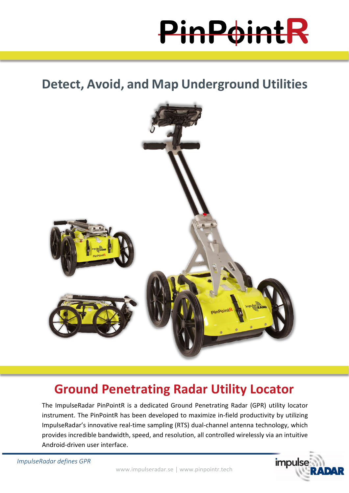PinPoin

**Detect, Avoid, and Map Underground Utilities**



# **Ground Penetrating Radar Utility Locator**

The ImpulseRadar PinPointR is a dedicated Ground Penetrating Radar (GPR) utility locator instrument. The PinPointR has been developed to maximize in-field productivity by utilizing ImpulseRadar's innovative real-time sampling (RTS) dual-channel antenna technology, which provides incredible bandwidth, speed, and resolution, all controlled wirelessly via an intuitive Android-driven user interface.



*ImpulseRadar defines GPR*